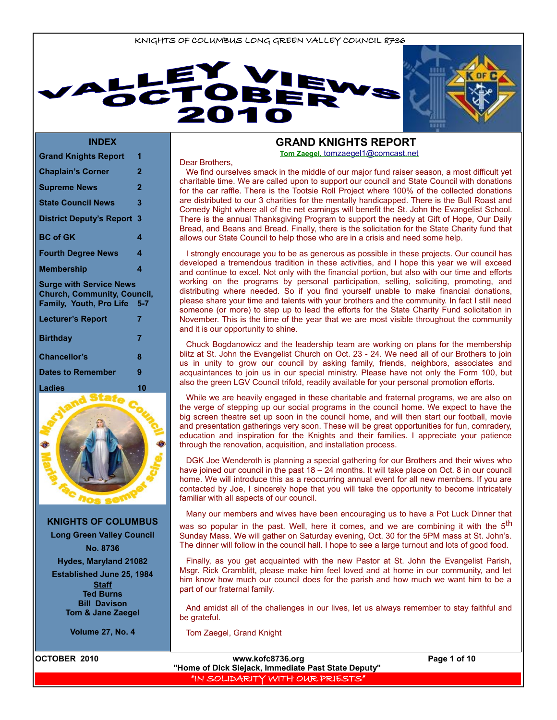



#### **INDEX**

| <b>Grand Knights Report</b>                                                                     | 1              |
|-------------------------------------------------------------------------------------------------|----------------|
| <b>Chaplain's Corner</b>                                                                        | $\overline{2}$ |
| <b>Supreme News</b>                                                                             | $\overline{2}$ |
| <b>State Council News</b>                                                                       | 3              |
| <b>District Deputy's Report</b>                                                                 | 3              |
| <b>BC of GK</b>                                                                                 | 4              |
| <b>Fourth Degree News</b>                                                                       | 4              |
| <b>Membership</b>                                                                               | 4              |
| <b>Surge with Service News</b><br><b>Church, Community, Council,</b><br>Family, Youth, Pro Life | $5 - 7$        |
|                                                                                                 |                |
| <b>Lecturer's Report</b>                                                                        | 7              |
| <b>Birthday</b>                                                                                 | 7              |
| <b>Chancellor's</b>                                                                             | 8              |
| <b>Dates to Remember</b>                                                                        | 9              |
| Ladies<br>State                                                                                 | 10             |



**KNIGHTS OF COLUMBUS**

**Long Green Valley Council No. 8736**

**Hydes, Maryland 21082**

**Established June 25, 1984 Staff Ted Burns Bill Davison Tom & Jane Zaegel**

**Volume 27, No. 4**

#### **GRAND KNIGHTS REPORT Tom Zaegel,** [tomzaegel1@comcast.net](mailto:tomzaegel1@comcast.net)

Dear Brothers,

We find ourselves smack in the middle of our major fund raiser season, a most difficult yet charitable time. We are called upon to support our council and State Council with donations for the car raffle. There is the Tootsie Roll Project where 100% of the collected donations are distributed to our 3 charities for the mentally handicapped. There is the Bull Roast and Comedy Night where all of the net earnings will benefit the St. John the Evangelist School. There is the annual Thanksgiving Program to support the needy at Gift of Hope, Our Daily Bread, and Beans and Bread. Finally, there is the solicitation for the State Charity fund that allows our State Council to help those who are in a crisis and need some help.

I strongly encourage you to be as generous as possible in these projects. Our council has developed a tremendous tradition in these activities, and I hope this year we will exceed and continue to excel. Not only with the financial portion, but also with our time and efforts working on the programs by personal participation, selling, soliciting, promoting, and distributing where needed. So if you find yourself unable to make financial donations, please share your time and talents with your brothers and the community. In fact I still need someone (or more) to step up to lead the efforts for the State Charity Fund solicitation in November. This is the time of the year that we are most visible throughout the community and it is our opportunity to shine.

Chuck Bogdanowicz and the leadership team are working on plans for the membership blitz at St. John the Evangelist Church on Oct. 23 - 24. We need all of our Brothers to join us in unity to grow our council by asking family, friends, neighbors, associates and acquaintances to join us in our special ministry. Please have not only the Form 100, but also the green LGV Council trifold, readily available for your personal promotion efforts.

While we are heavily engaged in these charitable and fraternal programs, we are also on the verge of stepping up our social programs in the council home. We expect to have the big screen theatre set up soon in the council home, and will then start our football, movie and presentation gatherings very soon. These will be great opportunities for fun, comradery, education and inspiration for the Knights and their families. I appreciate your patience through the renovation, acquisition, and installation process.

DGK Joe Wenderoth is planning a special gathering for our Brothers and their wives who have joined our council in the past 18 – 24 months. It will take place on Oct. 8 in our council home. We will introduce this as a reoccurring annual event for all new members. If you are contacted by Joe, I sincerely hope that you will take the opportunity to become intricately familiar with all aspects of our council.

Many our members and wives have been encouraging us to have a Pot Luck Dinner that was so popular in the past. Well, here it comes, and we are combining it with the 5<sup>th</sup> Sunday Mass. We will gather on Saturday evening, Oct. 30 for the 5PM mass at St. John's. The dinner will follow in the council hall. I hope to see a large turnout and lots of good food.

Finally, as you get acquainted with the new Pastor at St. John the Evangelist Parish, Msgr. Rick Cramblitt, please make him feel loved and at home in our community, and let him know how much our council does for the parish and how much we want him to be a part of our fraternal family.

And amidst all of the challenges in our lives, let us always remember to stay faithful and be grateful.

Tom Zaegel, Grand Knight

**OCTOBER 2010 www.kofc8736.org Page 1 of 10 "Home of Dick Siejack, Immediate Past State Deputy"**  "IN SOLIDARITY WITH OUR PRIESTS"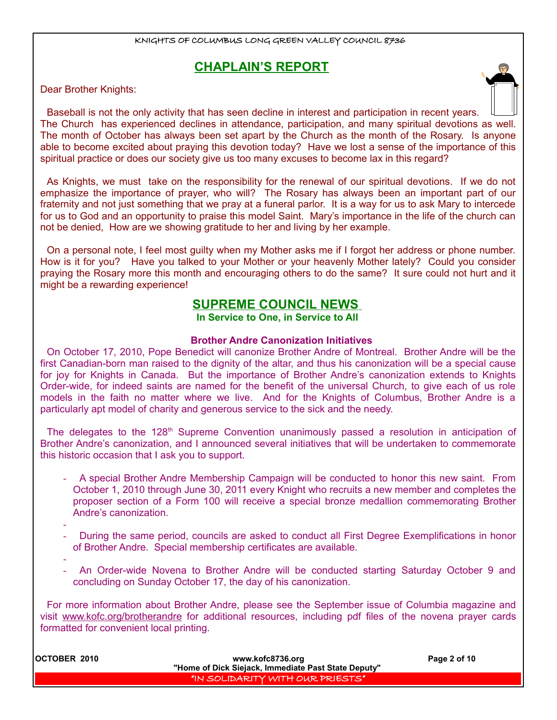# **CHAPLAIN'S REPORT**

Dear Brother Knights:

Baseball is not the only activity that has seen decline in interest and participation in recent years. The Church has experienced declines in attendance, participation, and many spiritual devotions as well. The month of October has always been set apart by the Church as the month of the Rosary. Is anyone able to become excited about praying this devotion today? Have we lost a sense of the importance of this spiritual practice or does our society give us too many excuses to become lax in this regard?

As Knights, we must take on the responsibility for the renewal of our spiritual devotions. If we do not emphasize the importance of prayer, who will? The Rosary has always been an important part of our fraternity and not just something that we pray at a funeral parlor. It is a way for us to ask Mary to intercede for us to God and an opportunity to praise this model Saint. Mary's importance in the life of the church can not be denied, How are we showing gratitude to her and living by her example.

On a personal note, I feel most guilty when my Mother asks me if I forgot her address or phone number. How is it for you? Have you talked to your Mother or your heavenly Mother lately? Could you consider praying the Rosary more this month and encouraging others to do the same? It sure could not hurt and it might be a rewarding experience!

## **SUPREME COUNCIL NEWS**

**In Service to One, in Service to All** 

### **Brother Andre Canonization Initiatives**

On October 17, 2010, Pope Benedict will canonize Brother Andre of Montreal. Brother Andre will be the first Canadian-born man raised to the dignity of the altar, and thus his canonization will be a special cause for joy for Knights in Canada. But the importance of Brother Andre's canonization extends to Knights Order-wide, for indeed saints are named for the benefit of the universal Church, to give each of us role models in the faith no matter where we live. And for the Knights of Columbus, Brother Andre is a particularly apt model of charity and generous service to the sick and the needy.

The delegates to the 128<sup>th</sup> Supreme Convention unanimously passed a resolution in anticipation of Brother Andre's canonization, and I announced several initiatives that will be undertaken to commemorate this historic occasion that I ask you to support.

- A special Brother Andre Membership Campaign will be conducted to honor this new saint. From October 1, 2010 through June 30, 2011 every Knight who recruits a new member and completes the proposer section of a Form 100 will receive a special bronze medallion commemorating Brother Andre's canonization.
- During the same period, councils are asked to conduct all First Degree Exemplifications in honor of Brother Andre. Special membership certificates are available.
- -

-

- An Order-wide Novena to Brother Andre will be conducted starting Saturday October 9 and concluding on Sunday October 17, the day of his canonization.

For more information about Brother Andre, please see the September issue of Columbia magazine and visit [www.kofc.org/brotherandre](http://www.kofc.org/brotherandre) for additional resources, including pdf files of the novena prayer cards formatted for convenient local printing.

| OCTOBER 2010 | www.kofc8736.org                                    | Page 2 of 10 |  |
|--------------|-----------------------------------------------------|--------------|--|
|              | "Home of Dick Siejack, Immediate Past State Deputy" |              |  |
|              | "IN SOLIDARITY WITH OUR PRIESTS"                    |              |  |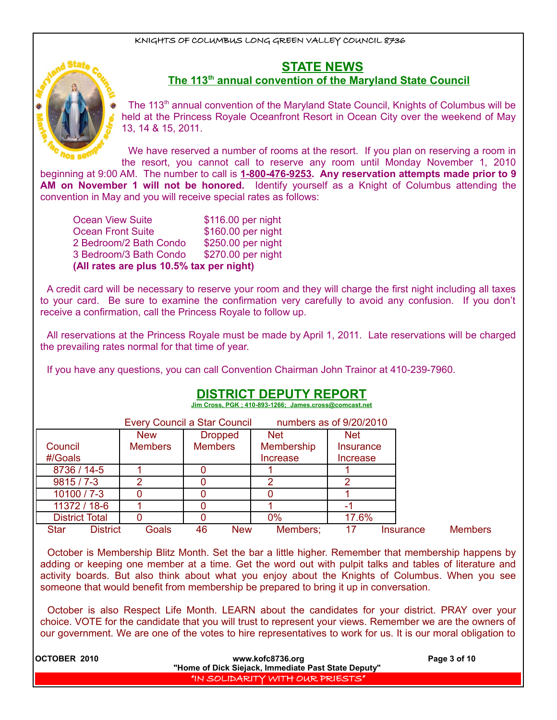

## **STATE NEWS**

### **The 113th annual convention of the Maryland State Council**

The 113<sup>th</sup> annual convention of the Maryland State Council, Knights of Columbus will be held at the Princess Royale Oceanfront Resort in Ocean City over the weekend of May 13, 14 & 15, 2011.

We have reserved a number of rooms at the resort. If you plan on reserving a room in the resort, you cannot call to reserve any room until Monday November 1, 2010 beginning at 9:00 AM. The number to call is **1-800-476-9253. Any reservation attempts made prior to 9 AM on November 1 will not be honored.** Identify yourself as a Knight of Columbus attending the convention in May and you will receive special rates as follows:

Ocean View Suite \$116.00 per night Ocean Front Suite \$160.00 per night 2 Bedroom/2 Bath Condo \$250.00 per night 3 Bedroom/3 Bath Condo \$270.00 per night **(All rates are plus 10.5% tax per night)**

A credit card will be necessary to reserve your room and they will charge the first night including all taxes to your card. Be sure to examine the confirmation very carefully to avoid any confusion. If you don't receive a confirmation, call the Princess Royale to follow up.

All reservations at the Princess Royale must be made by April 1, 2011. Late reservations will be charged the prevailing rates normal for that time of year.

If you have any questions, you can call Convention Chairman John Trainor at 410-239-7960.

## **DISTRICT DEPUTY REPORT**

 **Jim Cross, PGK ; 410-893-1266; James.cross@comcast.net**

|                       |                 |                | <b>Every Council a Star Council</b> |            | numbers as of 9/20/2010 |           |                |
|-----------------------|-----------------|----------------|-------------------------------------|------------|-------------------------|-----------|----------------|
|                       |                 | <b>New</b>     | <b>Dropped</b>                      | <b>Net</b> | <b>Net</b>              |           |                |
| Council               |                 | <b>Members</b> | <b>Members</b>                      | Membership | Insurance               |           |                |
| #/Goals               |                 |                |                                     | Increase   | Increase                |           |                |
| 8736 / 14-5           |                 |                |                                     |            |                         |           |                |
| $9815/7 - 3$          |                 |                |                                     | ⌒          | ົ                       |           |                |
| $10100 / 7 - 3$       |                 |                |                                     |            |                         |           |                |
| 11372 / 18-6          |                 |                |                                     |            |                         |           |                |
| <b>District Total</b> |                 |                |                                     | 0%         | 17.6%                   |           |                |
| <b>Star</b>           | <b>District</b> | Goals          | 46<br><b>New</b>                    | Members:   | 17                      | Insurance | <b>Members</b> |

October is Membership Blitz Month. Set the bar a little higher. Remember that membership happens by adding or keeping one member at a time. Get the word out with pulpit talks and tables of literature and activity boards. But also think about what you enjoy about the Knights of Columbus. When you see someone that would benefit from membership be prepared to bring it up in conversation.

October is also Respect Life Month. LEARN about the candidates for your district. PRAY over your choice. VOTE for the candidate that you will trust to represent your views. Remember we are the owners of our government. We are one of the votes to hire representatives to work for us. It is our moral obligation to

| <b>IOCTOBER 2010</b> | www.kofc8736.org                                    | Page 3 of 10 |
|----------------------|-----------------------------------------------------|--------------|
|                      | "Home of Dick Siejack, Immediate Past State Deputy" |              |
|                      | "IN SOLIDARITY WITH OUR PRIESTS"                    |              |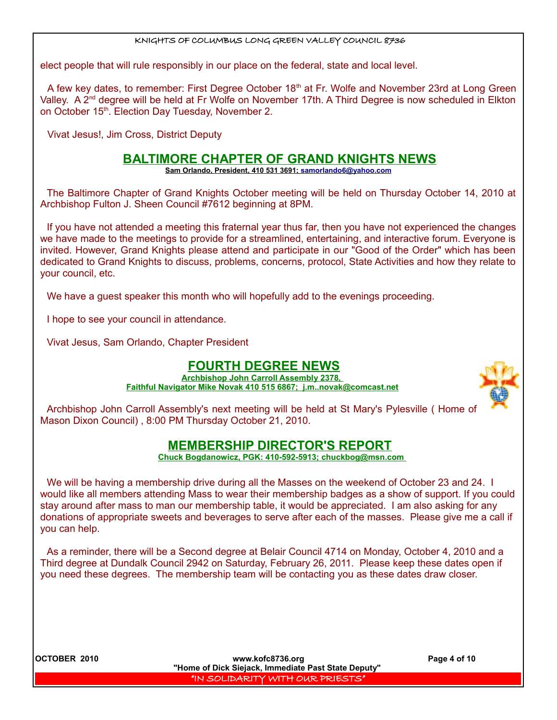elect people that will rule responsibly in our place on the federal, state and local level.

A few key dates, to remember: First Degree October 18<sup>th</sup> at Fr. Wolfe and November 23rd at Long Green Valley. A 2<sup>nd</sup> degree will be held at Fr Wolfe on November 17th. A Third Degree is now scheduled in Elkton on October 15<sup>th</sup>. Election Day Tuesday, November 2.

Vivat Jesus!, Jim Cross, District Deputy

### **BALTIMORE CHAPTER OF GRAND KNIGHTS NEWS**

 **Sam Orlando, President, 410 531 3691; [samorlando6@yahoo.com](mailto:samorlando6@yahoo.com)**

The Baltimore Chapter of Grand Knights October meeting will be held on Thursday October 14, 2010 at Archbishop Fulton J. Sheen Council #7612 beginning at 8PM.

If you have not attended a meeting this fraternal year thus far, then you have not experienced the changes we have made to the meetings to provide for a streamlined, entertaining, and interactive forum. Everyone is invited. However, Grand Knights please attend and participate in our "Good of the Order" which has been dedicated to Grand Knights to discuss, problems, concerns, protocol, State Activities and how they relate to your council, etc.

We have a guest speaker this month who will hopefully add to the evenings proceeding.

I hope to see your council in attendance.

Vivat Jesus, Sam Orlando, Chapter President

## **FOURTH DEGREE NEWS**

**Archbishop John Carroll Assembly 2378, Faithful Navigator Mike Novak 410 515 6867; j.m..novak@comcast.net**



Archbishop John Carroll Assembly's next meeting will be held at St Mary's Pylesville ( Home of Mason Dixon Council) , 8:00 PM Thursday October 21, 2010.

## **MEMBERSHIP DIRECTOR'S REPORT**

 **Chuck Bogdanowicz, PGK: 410-592-5913; chuckbog@msn.com** 

We will be having a membership drive during all the Masses on the weekend of October 23 and 24. I would like all members attending Mass to wear their membership badges as a show of support. If you could stay around after mass to man our membership table, it would be appreciated. I am also asking for any donations of appropriate sweets and beverages to serve after each of the masses. Please give me a call if you can help.

As a reminder, there will be a Second degree at Belair Council 4714 on Monday, October 4, 2010 and a Third degree at Dundalk Council 2942 on Saturday, February 26, 2011. Please keep these dates open if you need these degrees. The membership team will be contacting you as these dates draw closer.

**OCTOBER 2010 WILLER 10.000 WILLER WILLER WILLER WILLER WILLER WILLER WILLER WILLER WILLER WILLER WILLER WILLER WILLER WILLER WILLER WILLER WILLER WILLER WILLER WILLER WILLER WILLER WILLER WILLER WILLER WILLER WILLER WIL "Home of Dick Siejack, Immediate Past State Deputy"**  "IN SOLIDARITY WITH OUR PRIESTS"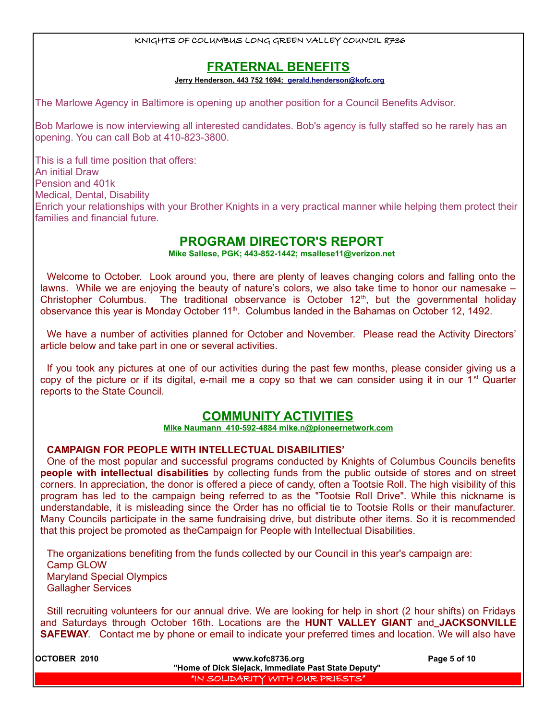## **FRATERNAL BENEFITS**

 **Jerry Henderson, 443 752 1694; [gerald.henderson@kofc.org](mailto:gerald.henderson@kofc.org)**

The Marlowe Agency in Baltimore is opening up another position for a Council Benefits Advisor.

Bob Marlowe is now interviewing all interested candidates. Bob's agency is fully staffed so he rarely has an opening. You can call Bob at 410-823-3800.

This is a full time position that offers: An initial Draw Pension and 401k Medical, Dental, Disability Enrich your relationships with your Brother Knights in a very practical manner while helping them protect their families and financial future.

### **PROGRAM DIRECTOR'S REPORT**

 **Mike Sallese, PGK; 443-852-1442; msallese11@verizon.net**

Welcome to October. Look around you, there are plenty of leaves changing colors and falling onto the lawns. While we are enjoying the beauty of nature's colors, we also take time to honor our namesake – Christopher Columbus. The traditional observance is October  $12<sup>th</sup>$ , but the governmental holiday observance this year is Monday October 11<sup>th</sup>. Columbus landed in the Bahamas on October 12, 1492.

We have a number of activities planned for October and November. Please read the Activity Directors' article below and take part in one or several activities.

If you took any pictures at one of our activities during the past few months, please consider giving us a copy of the picture or if its digital, e-mail me a copy so that we can consider using it in our 1<sup>st</sup> Quarter reports to the State Council.

## **COMMUNITY ACTIVITIES**

#### **Mike Naumann 410-592-4884 mike.n@pioneernetwork.com**

### **CAMPAIGN FOR PEOPLE WITH INTELLECTUAL DISABILITIES'**

One of the most popular and successful programs conducted by Knights of Columbus Councils benefits **people with intellectual disabilities** by collecting funds from the public outside of stores and on street corners. In appreciation, the donor is offered a piece of candy, often a Tootsie Roll. The high visibility of this program has led to the campaign being referred to as the "Tootsie Roll Drive". While this nickname is understandable, it is misleading since the Order has no official tie to Tootsie Rolls or their manufacturer. Many Councils participate in the same fundraising drive, but distribute other items. So it is recommended that this project be promoted as theCampaign for People with Intellectual Disabilities.

The organizations benefiting from the funds collected by our Council in this year's campaign are: Camp GLOW Maryland Special Olympics Gallagher Services

Still recruiting volunteers for our annual drive. We are looking for help in short (2 hour shifts) on Fridays and Saturdays through October 16th. Locations are the **HUNT VALLEY GIANT** and **JACKSONVILLE SAFEWAY.** Contact me by phone or email to indicate your preferred times and location. We will also have

| <b>IOCTOBER 2010</b> | www.kofc8736.org                                    | Page 5 of 10 |
|----------------------|-----------------------------------------------------|--------------|
|                      | "Home of Dick Siejack, Immediate Past State Deputy" |              |
|                      | "IN SOLIDARITY WITH OUR PRIESTS"                    |              |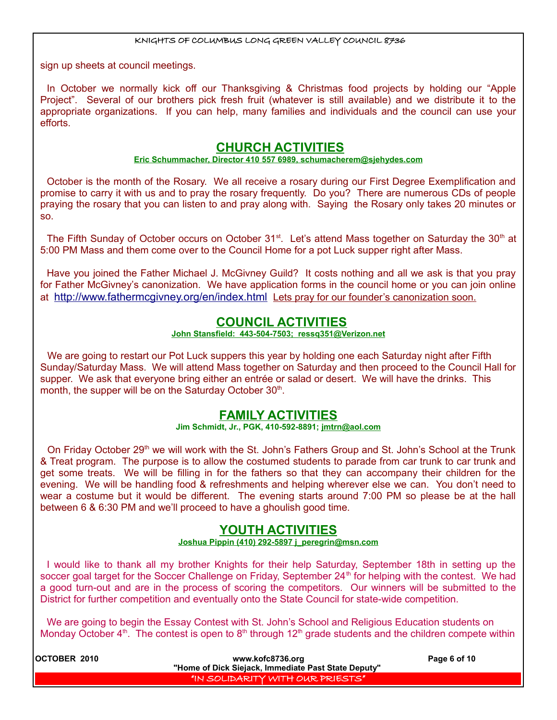sign up sheets at council meetings.

In October we normally kick off our Thanksgiving & Christmas food projects by holding our "Apple Project". Several of our brothers pick fresh fruit (whatever is still available) and we distribute it to the appropriate organizations. If you can help, many families and individuals and the council can use your efforts.

## **CHURCH ACTIVITIES**

### **Eric Schummacher, Director 410 557 6989, schumacherem@sjehydes.com**

October is the month of the Rosary. We all receive a rosary during our First Degree Exemplification and promise to carry it with us and to pray the rosary frequently. Do you? There are numerous CDs of people praying the rosary that you can listen to and pray along with. Saying the Rosary only takes 20 minutes or so.

The Fifth Sunday of October occurs on October 31<sup>st</sup>. Let's attend Mass together on Saturday the 30<sup>th</sup> at 5:00 PM Mass and them come over to the Council Home for a pot Luck supper right after Mass.

Have you joined the Father Michael J. McGivney Guild? It costs nothing and all we ask is that you pray for Father McGivney's canonization. We have application forms in the council home or you can join online at <http://www.fathermcgivney.org/en/index.html> Lets pray for our founder's canonization soon.

### **COUNCIL ACTIVITIES**

### **John Stansfield: 443-504-7503; ressq351@Verizon.net**

We are going to restart our Pot Luck suppers this year by holding one each Saturday night after Fifth Sunday/Saturday Mass. We will attend Mass together on Saturday and then proceed to the Council Hall for supper. We ask that everyone bring either an entrée or salad or desert. We will have the drinks. This month, the supper will be on the Saturday October 30<sup>th</sup>.

### **FAMILY ACTIVITIES**

#### **Jim Schmidt, Jr., PGK, 410-592-8891; jmtrn@aol.com**

On Friday October 29<sup>th</sup> we will work with the St. John's Fathers Group and St. John's School at the Trunk & Treat program. The purpose is to allow the costumed students to parade from car trunk to car trunk and get some treats. We will be filling in for the fathers so that they can accompany their children for the evening. We will be handling food & refreshments and helping wherever else we can. You don't need to wear a costume but it would be different. The evening starts around 7:00 PM so please be at the hall between 6 & 6:30 PM and we'll proceed to have a ghoulish good time.

### **YOUTH ACTIVITIES**

#### **Joshua Pippin (410) 292-5897 j\_peregrin@msn.com**

I would like to thank all my brother Knights for their help Saturday, September 18th in setting up the soccer goal target for the Soccer Challenge on Friday, September  $24<sup>th</sup>$  for helping with the contest. We had a good turn-out and are in the process of scoring the competitors. Our winners will be submitted to the District for further competition and eventually onto the State Council for state-wide competition.

We are going to begin the Essay Contest with St. John's School and Religious Education students on Monday October  $4<sup>th</sup>$ . The contest is open to  $8<sup>th</sup>$  through 12<sup>th</sup> grade students and the children compete within

| <b>IOCTOBER 2010</b> | www.kofc8736.org                                    | Page 6 of 10 |
|----------------------|-----------------------------------------------------|--------------|
|                      | "Home of Dick Siejack, Immediate Past State Deputy" |              |
|                      | "IN SOLIDARITY WITH OUR PRIESTS"                    |              |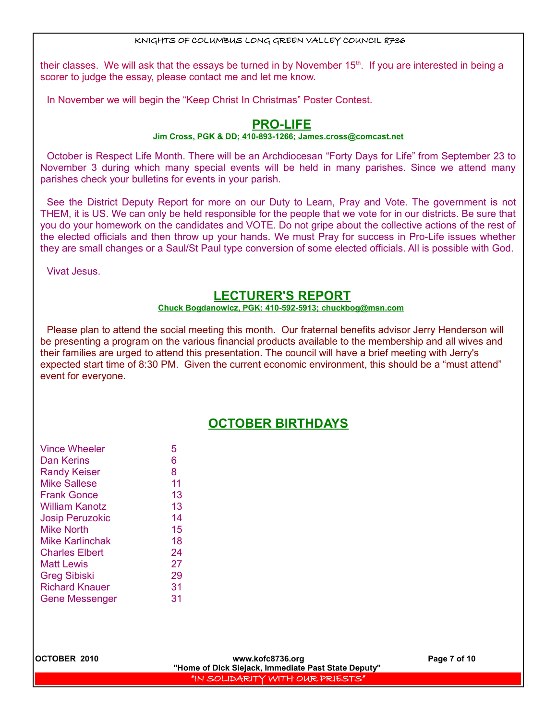their classes. We will ask that the essays be turned in by November  $15<sup>th</sup>$ . If you are interested in being a scorer to judge the essay, please contact me and let me know.

In November we will begin the "Keep Christ In Christmas" Poster Contest.

## **PRO-LIFE**

### **Jim Cross, PGK & DD; 410-893-1266; [James.cross@comcast.net](mailto:James.cross@comcast.net)**

October is Respect Life Month. There will be an Archdiocesan "Forty Days for Life" from September 23 to November 3 during which many special events will be held in many parishes. Since we attend many parishes check your bulletins for events in your parish.

See the District Deputy Report for more on our Duty to Learn, Pray and Vote. The government is not THEM, it is US. We can only be held responsible for the people that we vote for in our districts. Be sure that you do your homework on the candidates and VOTE. Do not gripe about the collective actions of the rest of the elected officials and then throw up your hands. We must Pray for success in Pro-Life issues whether they are small changes or a Saul/St Paul type conversion of some elected officials. All is possible with God.

Vivat Jesus.

# **LECTURER'S REPORT**

### **Chuck Bogdanowicz, PGK: 410-592-5913; chuckbog@msn.com**

Please plan to attend the social meeting this month. Our fraternal benefits advisor Jerry Henderson will be presenting a program on the various financial products available to the membership and all wives and their families are urged to attend this presentation. The council will have a brief meeting with Jerry's expected start time of 8:30 PM. Given the current economic environment, this should be a "must attend" event for everyone.

# **OCTOBER BIRTHDAYS**

| <b>Vince Wheeler</b>   | 5  |
|------------------------|----|
| Dan Kerins             | 6  |
| <b>Randy Keiser</b>    | 8  |
| Mike Sallese           | 11 |
| <b>Frank Gonce</b>     | 13 |
| <b>William Kanotz</b>  | 13 |
| <b>Josip Peruzokic</b> | 14 |
| <b>Mike North</b>      | 15 |
| Mike Karlinchak        | 18 |
| <b>Charles Elbert</b>  | 24 |
| Matt Lewis             | 27 |
| <b>Greg Sibiski</b>    | 29 |
| <b>Richard Knauer</b>  | 31 |
| <b>Gene Messenger</b>  | 31 |
|                        |    |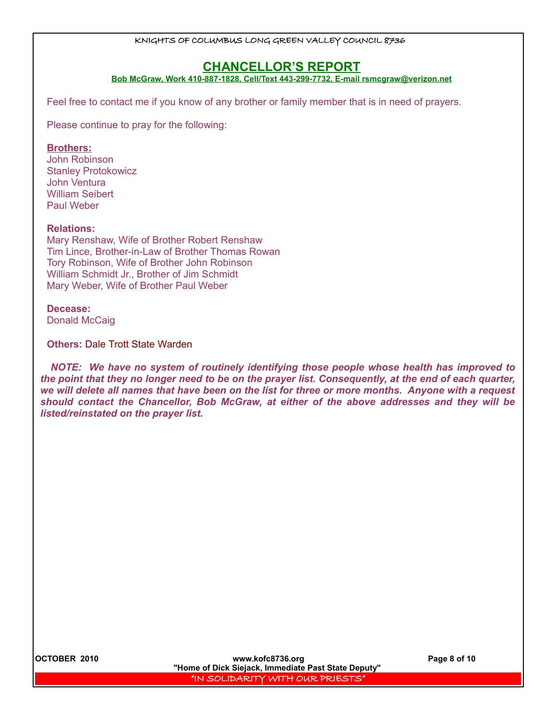### **CHANCELLOR'S REPORT**

**Bob McGraw, Work 410-887-1828, Cell/Text 443-299-7732, E-mail rsmcgraw@verizon.net**

Feel free to contact me if you know of any brother or family member that is in need of prayers.

Please continue to pray for the following:

### **Brothers:**

John Robinson Stanley Protokowicz John Ventura William Seibert Paul Weber

#### **Relations:**

Mary Renshaw, Wife of Brother Robert Renshaw Tim Lince, Brother-in-Law of Brother Thomas Rowan Tory Robinson, Wife of Brother John Robinson William Schmidt Jr., Brother of Jim Schmidt Mary Weber, Wife of Brother Paul Weber

### **Decease:**

Donald McCaig

**Others:** Dale Trott State Warden

*NOTE: We have no system of routinely identifying those people whose health has improved to the point that they no longer need to be on the prayer list. Consequently, at the end of each quarter, we will delete all names that have been on the list for three or more months. Anyone with a request should contact the Chancellor, Bob McGraw, at either of the above addresses and they will be listed/reinstated on the prayer list.*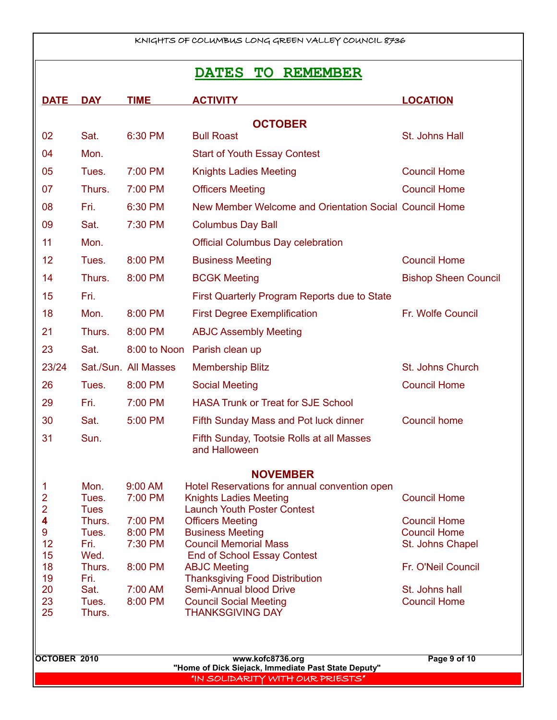# **DATES TO REMEMBER**

| <b>OCTOBER</b>                                                                                                                                                    |  |  |  |  |  |
|-------------------------------------------------------------------------------------------------------------------------------------------------------------------|--|--|--|--|--|
|                                                                                                                                                                   |  |  |  |  |  |
| 02<br>Sat.<br>6:30 PM<br><b>Bull Roast</b><br>St. Johns Hall                                                                                                      |  |  |  |  |  |
| Mon.<br>04<br><b>Start of Youth Essay Contest</b>                                                                                                                 |  |  |  |  |  |
| 05<br>Tues.<br>7:00 PM<br><b>Knights Ladies Meeting</b><br><b>Council Home</b>                                                                                    |  |  |  |  |  |
| <b>Council Home</b><br>07<br>7:00 PM<br>Thurs.<br><b>Officers Meeting</b>                                                                                         |  |  |  |  |  |
| 08<br>Fri.<br>6:30 PM<br>New Member Welcome and Orientation Social Council Home                                                                                   |  |  |  |  |  |
| 09<br>Sat.<br>7:30 PM<br><b>Columbus Day Ball</b>                                                                                                                 |  |  |  |  |  |
| 11<br>Mon.<br><b>Official Columbus Day celebration</b>                                                                                                            |  |  |  |  |  |
| 12<br><b>Council Home</b><br>8:00 PM<br><b>Business Meeting</b><br>Tues.                                                                                          |  |  |  |  |  |
| 14<br>Thurs.<br>8:00 PM<br><b>Bishop Sheen Council</b><br><b>BCGK Meeting</b>                                                                                     |  |  |  |  |  |
| 15<br>Fri.<br>First Quarterly Program Reports due to State                                                                                                        |  |  |  |  |  |
| 18<br>Mon.<br>8:00 PM<br>Fr. Wolfe Council<br><b>First Degree Exemplification</b>                                                                                 |  |  |  |  |  |
| 21<br>Thurs.<br>8:00 PM<br><b>ABJC Assembly Meeting</b>                                                                                                           |  |  |  |  |  |
| 23<br>Sat.<br>8:00 to Noon<br>Parish clean up                                                                                                                     |  |  |  |  |  |
| 23/24<br>Sat./Sun. All Masses<br>St. Johns Church<br><b>Membership Blitz</b>                                                                                      |  |  |  |  |  |
| 26<br><b>Social Meeting</b><br><b>Council Home</b><br>Tues.<br>8:00 PM                                                                                            |  |  |  |  |  |
| 7:00 PM<br><b>HASA Trunk or Treat for SJE School</b><br>29<br>Fri.                                                                                                |  |  |  |  |  |
| 30<br>Sat.<br>5:00 PM<br><b>Council home</b><br>Fifth Sunday Mass and Pot luck dinner                                                                             |  |  |  |  |  |
| Sun.<br>31<br>Fifth Sunday, Tootsie Rolls at all Masses                                                                                                           |  |  |  |  |  |
| and Halloween                                                                                                                                                     |  |  |  |  |  |
| <b>NOVEMBER</b>                                                                                                                                                   |  |  |  |  |  |
| 1<br>9:00 AM<br>Hotel Reservations for annual convention open<br>Mon.                                                                                             |  |  |  |  |  |
| $\overline{2}$<br>7:00 PM<br><b>Council Home</b><br>Tues.<br><b>Knights Ladies Meeting</b><br>$\overline{2}$<br><b>Launch Youth Poster Contest</b><br><b>Tues</b> |  |  |  |  |  |
| 4<br>7:00 PM<br>Thurs.<br><b>Officers Meeting</b><br><b>Council Home</b>                                                                                          |  |  |  |  |  |
| <b>Council Home</b><br>9<br>Tues.<br>8:00 PM<br><b>Business Meeting</b>                                                                                           |  |  |  |  |  |
| 12<br>Fri.<br>7:30 PM<br><b>Council Memorial Mass</b><br>St. Johns Chapel                                                                                         |  |  |  |  |  |
| 15<br>Wed.<br><b>End of School Essay Contest</b>                                                                                                                  |  |  |  |  |  |
| 18<br>Thurs.<br>8:00 PM<br>Fr. O'Neil Council<br><b>ABJC Meeting</b>                                                                                              |  |  |  |  |  |
| 19<br>Fri.<br><b>Thanksgiving Food Distribution</b>                                                                                                               |  |  |  |  |  |
| 20<br>Semi-Annual blood Drive<br>Sat.<br>7:00 AM<br>St. Johns hall<br><b>Council Home</b>                                                                         |  |  |  |  |  |
| 23<br>8:00 PM<br><b>Council Social Meeting</b><br>Tues.<br>25<br><b>THANKSGIVING DAY</b><br>Thurs.                                                                |  |  |  |  |  |
|                                                                                                                                                                   |  |  |  |  |  |
|                                                                                                                                                                   |  |  |  |  |  |
| <b>OCTOBER 2010</b><br>www.kofc8736.org<br>Page 9 of 10                                                                                                           |  |  |  |  |  |
| "Home of Dick Siejack, Immediate Past State Deputy"                                                                                                               |  |  |  |  |  |
| "IN SOLIDARITY WITH OUR PRIESTS"                                                                                                                                  |  |  |  |  |  |